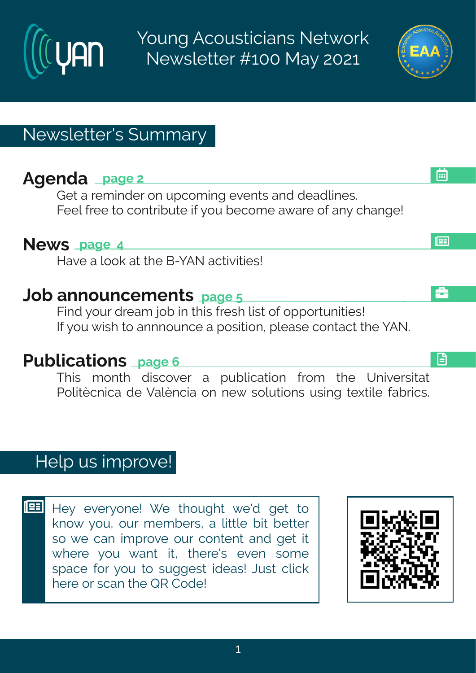## $F$ kirhe teki $\#$

Lixte#viq mhiv#sr#ytgsq mk#zirxw#erh#hiehpmiw3 Kiip# vii# s<br/>#gsrxwfnyxi# m# sy#ligsq i# e{ evi#si#er }#glerki\$

## Si { W t eki #9

Mezi #e#psso#ex#li#G2| FS#egxnaminw\$

## Osf#errsyrgiqirxwteki#

Knnh#syv#hvieq#ssf#n#xlmw#jviwl#pnw#sj#sttswyrmanw\$ Nikt sy# mow #xs#errrsyrgi#e#tswmxnsr1#tpiewi#psrxegx#vli#FS3

## Uyf proexrar w teki#

XI mort q sr x # h mngszi w # e # t y f pnge xnsr # j vsq # x i # Y r mai www.nex # Us pno Cgr roge#hi#ZepOr greats r#ri{# As py xns r w#y wnn k # xij xnpi# ef vrogw 8

 $M_i$  }#iziv}sri $\frac{4}{3}$ [ i#xlsyklx#{i,h#kix#xs# ors{#} sy#syv#qiqfiww#e#poxyoi#fnx#fixxiv# ws# i#ger#mot vszi#syv#gsrxirx#erh#kix#mx#  $\{$  livi# $\}$ sy# $\{$  er x# nx1# xlivi, w# izir# wsqi# wtegi#jsv#jsy#xs#wykkiww#mhiew\$HOyw#gpmgo# livi#sv#waer#vli#VW#Hshi\$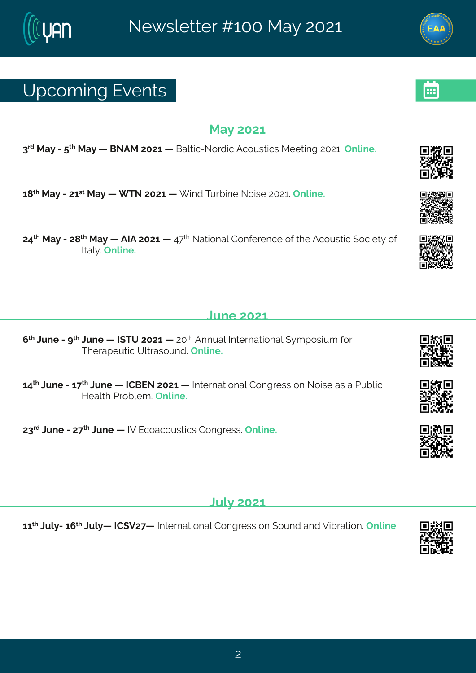## Yt gsq mk#zi r xw

#### Re}#576

8<sup>th</sup> free} ft2# x<sup>1</sup> free} ft6 ffGSFR ff7576ft6 ffGepxng2Ss vhngtFgsywngwtRii xnnk ff7576\$ff rpni 3

6=  $*$  #Re} #2476 \*\* #Re} #6 # XS #7576 #6 # mh#Xy vf mi #Ssmwi #7576 # rpmi 3

79<sup>x|</sup> #Re}#2#7=<sup>x|</sup> #Re}#6 #FNF#7576#6 #9<<sup>x|</sup> #Sexnsrep#Hsrjivirgi#sj#kli#Fgsywxng#(sgmix}#sj# Ned  $3\pi$  r ani 3

### Qri#576

; <sup>x|</sup>#Qyri#2#b<sup>x|</sup>#Qyri#ô#N|XY#7576#ô#75<sup>x|</sup>#Frryep#Ntxivrexnsrep#(}qtswmyq#|sv# XI i vet i y xmg #Y p x e ws y r h 3 T r p m i 3

69<sup>xl</sup>#Oyri#2#6<<sup>xl</sup>#Oyri#6 #NHGJS#7576#6 #Ntxivrexmsrep#Hsrkviww#sr#Ssmwi#ew#e#Uyfpmg# Miep 4thsf pi q 34 r pni 3

78<sup>vh</sup>#Oyri#2#7<<sup>x|</sup>#Oyri#6:#NZ#Jgsegsywxmgw#Hsrkviww3#Trpmi3

#### $Q$ <sub>t</sub> $\#$ 576

66<sup>xl</sup>#Dyp}246;<sup>xl</sup>#Dyp}ô#HH(Z7<ô#Nxivrexmsrep#Hsrkviww#sr#syrh#erh#Zmfivexmsr3#Trpmi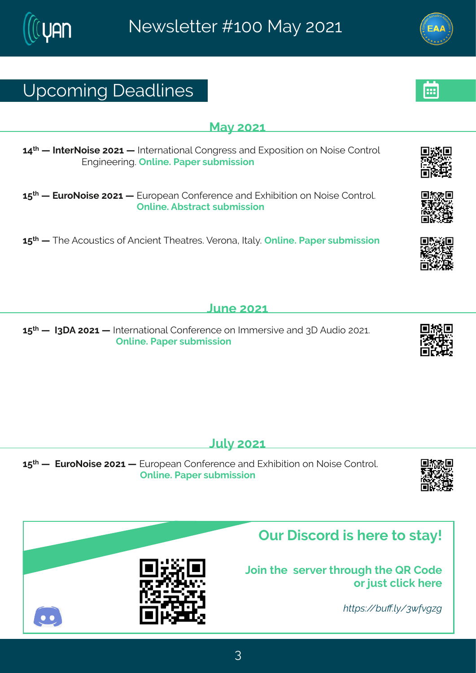# Yt gsq mk# i ehpni w

#### Re}#576

69<sup>x</sup> #6 #NtxivSsmwi#7576#6 #Ntxivrexmsrep#Hsrkviww#erh#Jltswmxnsr#sr#Ssmwi#Hsrxvsp# Jrkmii vmk 34 rpni 34 Jet i v#w f q mwnsr

6:  $\frac{1}{2}$  #6: #JyvsSsmwi#7576#6: #Jyvstier#Hsrjivirgi#erh#Jlmfn mansnr#sr#Ssmwi#Hsrxvsp3# ####### rpni 3Ff wwegx#wyf g mwnsr

6: \* #6 #XI i#Fasywwonowuksj#Framin x#XI iexviwos 2Zivsre#Nep} 3#Trpmi 3# Jet iv#w fa mww.nsn

#### Qri#576

6:  $\frac{1}{2}$  #16: #1881 F#7576#6: #Nxivrexmsrep#Hsrjivirgi#sr#Nojqiwnzni#erh#81 #Fyhms#75763# ##Trpni 3#Jet i v#wyfq mwnar#

#### $Q/b$ #576

6:  $\frac{1}{2}$  #6: ##JyvsSsmwi#7576#6: #Jyvstier#Hsrjivirgi#erh#Jlmfn mansr#sr#Ssmwi#Hsrxvsp3# # rpni 3# Jet i v#wyfq mwnar# ##

Ty v# mags vh#m# i vi #xs #we}\$

Csm# li##wivziv#d vsykl#di#VW#Hshi sv#ywx#gpgo#ivi

ZÒ 34 an = 0% xp < 0 0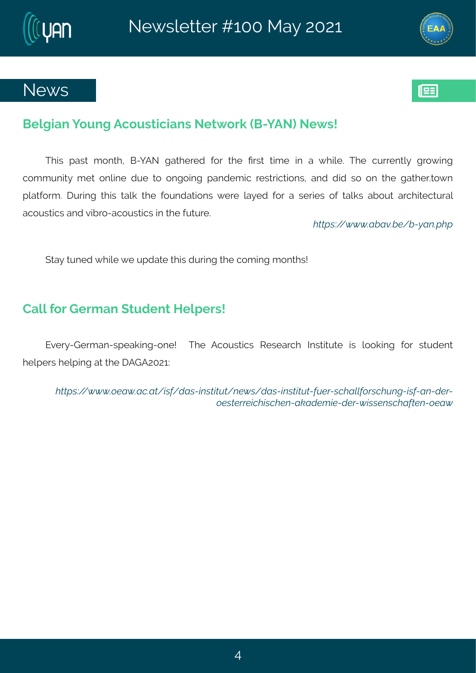### Gipk mer # syrk#Fgsywangmer w#Six{ svo#G2] FS.#Si{ w\$

XInw#tew#qsrxl1#G2]FS#kexlivih#jsv#xli#[ww#xmqi#mn#e#{Impi3#Xli#qywirxp}#kvs{mnk# gsqqqyrnx)#qix#srpmi#hyi#xs#srksmnk#terhiqmg#viww.ngxnsrw1#erh#hmln#ws#sr#xli#kexliv3xs{r# t pexjsvq 3#l yvmrk#xlmw#xepo#xli#jsyrhexmsrw#{ivi#pe}ih#jsv#e#wivmiw#sj#xepow#efsyx#evglmxigxyvep# egsywngwtter http://ww.gov.com/thesistantesymnasty.com/

ZOO 34 b b b Q a Ver a 3 W Q Z ¤

(xe}#xyrih#Impi#i#ythexi#xImw#hyvmnk#xli#qsqmnk#qsrxlw\$

### Hepo#sv#Livq er#xyhirx#Miptiw46

Jziv}2Livqer2wtieonnk2sri\$##Xli#Fqsywwnqw#Wiwievql#Ntwwnxyxi#mw#pssonnk#jsw#wwyhirx# liptiw#liptmk#ex#vli#FLF7576?

ZÒ C 4" b b b @ % b @ 10 % 4" ú Ñ 34 3 0 à 0 { % % ú Ñ 34 3 0 à 0 4 3 3 4 Z Ñ m  $\uparrow$  1 3 4 Z ã { O 1 % 4 Ñ { ] ú % ] ‡%vO61% Z%XZ%}]ÑkÑú%v^%jú%]þ^%%%}%ZÑkO%}]‡%Ñb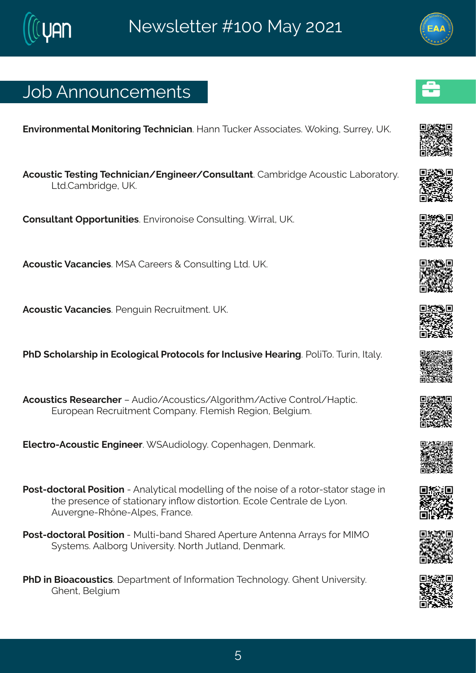# Osf#Frrsyrgiqirxw

Jrzmsrg ir xendRsrmssym k#Xiglrmgner 3#Merr#Xygo iv#Fww.sgnewiw 3#Fsom k# ywi}1#YP3

Fasyword #X wornk #X all ring mer4 Jrk mi iv4 Hsrwy pxerx \$Heq fwhiki#Fasywword#Qefsvexs v} 3 Q h 3Hea f v h k i 14Y P 3

Hsrw.pxerx#Tttsvxyrmxmiw3#Jrzmxsrsmwi#Hsrwypxnnk3#mwep1#YP3

Fgsyworg #Zegergmw&R (F#Hevi i w#+#Hsrwypmnk#Qvh3AYP3

Fgsyworg#Zegergmw3Uirkym#Wgw.mogirx3#YP3#

UII# glspew th#m#Jgspsk mgep#Jysxsgspy#sy#Ngpywnzi#Mieymk3#JspoXs3#Xyvm#Axlep}3

Fasvworm w# W wieval iv#5#Fvhns14 Fasvworm own Froks vool a 4 Faxoni#Hsr xvsp4 Met xmo. 3# Jyvstier#Wigwymogirx#Hsgter}3#Kpigmwl#Wikmsr#Gipkmyg3

Jpigxxs2Fgsywxmg#Jrkmiiv3# (Fyhnspsk}3#Hstirlekir1#lirqevo3

Uswi2hsgxsvep#Uswmxnsr#2#Frep}xngep#qshippnnk#sj#vli#smwi#sj#e#usxsv2wwexsv#wweki#nn# di# viwirgi#sj#wexmsrev}#n\s{#nnwswmsr3#Jgspi#Hirxvepi#hi#Q}sr3 Fvzi vkri 2 W ßri 2 Fut i w#Kver ai 3#

Uswild a gxsvep# Jswnxmar# 2#R ypxn2f erh# levih# Ftiwy vi# Frxirre# Fwe }w# sv#RNRT ( ) waiq w3FF epf swk#Yrmziwwn) 36S wl#Oy xperh1#lirg evo 3

UII# m#Gnaegsywxngw@#itewqirx#sj#Ntjsvqexnsr#XigIrspsk } 3#Llirx#Yrnziwnx}3 Llirx#Gipkma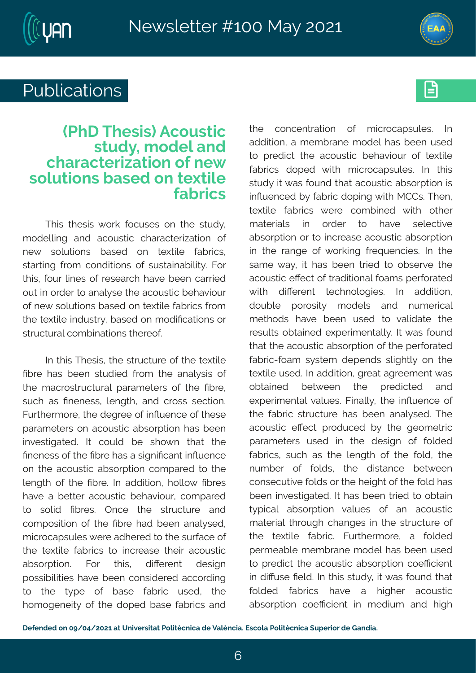



# Publications **Executive**

## **(PhD Thesis) Acoustic study, model and characterization of new solutions based on textile fabrics**

This thesis work focuses on the study, modelling and acoustic characterization of new solutions based on textile fabrics, starting from conditions of sustainability. For this, four lines of research have been carried out in order to analyse the acoustic behaviour of new solutions based on textile fabrics from the textile industry, based on modifications or structural combinations thereof.

In this Thesis, the structure of the textile fibre has been studied from the analysis of the macrostructural parameters of the fibre, such as fineness, length, and cross section. Furthermore, the degree of influence of these parameters on acoustic absorption has been investigated. It could be shown that the fineness of the fibre has a significant influence on the acoustic absorption compared to the length of the fibre. In addition, hollow fibres have a better acoustic behaviour, compared to solid fibres. Once the structure and composition of the fibre had been analysed, microcapsules were adhered to the surface of the textile fabrics to increase their acoustic absorption. For this, different design possibilities have been considered according to the type of base fabric used, the homogeneity of the doped base fabrics and the concentration of microcapsules. In addition, a membrane model has been used to predict the acoustic behaviour of textile fabrics doped with microcapsules. In this study it was found that acoustic absorption is influenced by fabric doping with MCCs. Then, textile fabrics were combined with other materials in order to have selective absorption or to increase acoustic absorption in the range of working frequencies. In the same way, it has been tried to observe the acoustic effect of traditional foams perforated with different technologies. In addition, double porosity models and numerical methods have been used to validate the results obtained experimentally. It was found that the acoustic absorption of the perforated fabric-foam system depends slightly on the textile used. In addition, great agreement was obtained between the predicted and experimental values. Finally, the influence of the fabric structure has been analysed. The acoustic effect produced by the geometric parameters used in the design of folded fabrics, such as the length of the fold, the number of folds, the distance between consecutive folds or the height of the fold has been investigated. It has been tried to obtain typical absorption values of an acoustic material through changes in the structure of the textile fabric. Furthermore, a folded permeable membrane model has been used to predict the acoustic absorption coefficient in diffuse field. In this study, it was found that folded fabrics have a higher acoustic absorption coefficient in medium and high